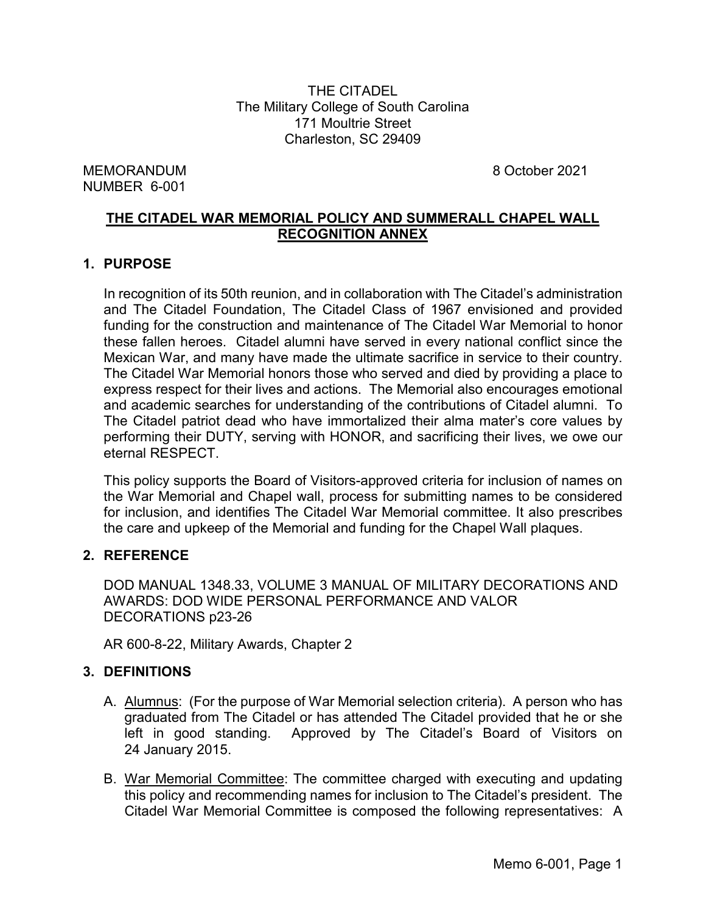THE CITADEL The Military College of South Carolina 171 Moultrie Street Charleston, SC 29409

MEMORANDUM 8 October 2021 NUMBER 6-001

# **THE CITADEL WAR MEMORIAL POLICY AND SUMMERALL CHAPEL WALL RECOGNITION ANNEX**

## **1. PURPOSE**

In recognition of its 50th reunion, and in collaboration with The Citadel's administration and The Citadel Foundation, The Citadel Class of 1967 envisioned and provided funding for the construction and maintenance of The Citadel War Memorial to honor these fallen heroes. Citadel alumni have served in every national conflict since the Mexican War, and many have made the ultimate sacrifice in service to their country. The Citadel War Memorial honors those who served and died by providing a place to express respect for their lives and actions. The Memorial also encourages emotional and academic searches for understanding of the contributions of Citadel alumni. To The Citadel patriot dead who have immortalized their alma mater's core values by performing their DUTY, serving with HONOR, and sacrificing their lives, we owe our eternal RESPECT.

This policy supports the Board of Visitors-approved criteria for inclusion of names on the War Memorial and Chapel wall, process for submitting names to be considered for inclusion, and identifies The Citadel War Memorial committee. It also prescribes the care and upkeep of the Memorial and funding for the Chapel Wall plaques.

## **2. REFERENCE**

DOD MANUAL 1348.33, VOLUME 3 MANUAL OF MILITARY DECORATIONS AND AWARDS: DOD WIDE PERSONAL PERFORMANCE AND VALOR DECORATIONS p23-26

AR 600-8-22, Military Awards, Chapter 2

## **3. DEFINITIONS**

- A. Alumnus: (For the purpose of War Memorial selection criteria). A person who has graduated from The Citadel or has attended The Citadel provided that he or she left in good standing. Approved by The Citadel's Board of Visitors on 24 January 2015.
- B. War Memorial Committee: The committee charged with executing and updating this policy and recommending names for inclusion to The Citadel's president. The Citadel War Memorial Committee is composed the following representatives: A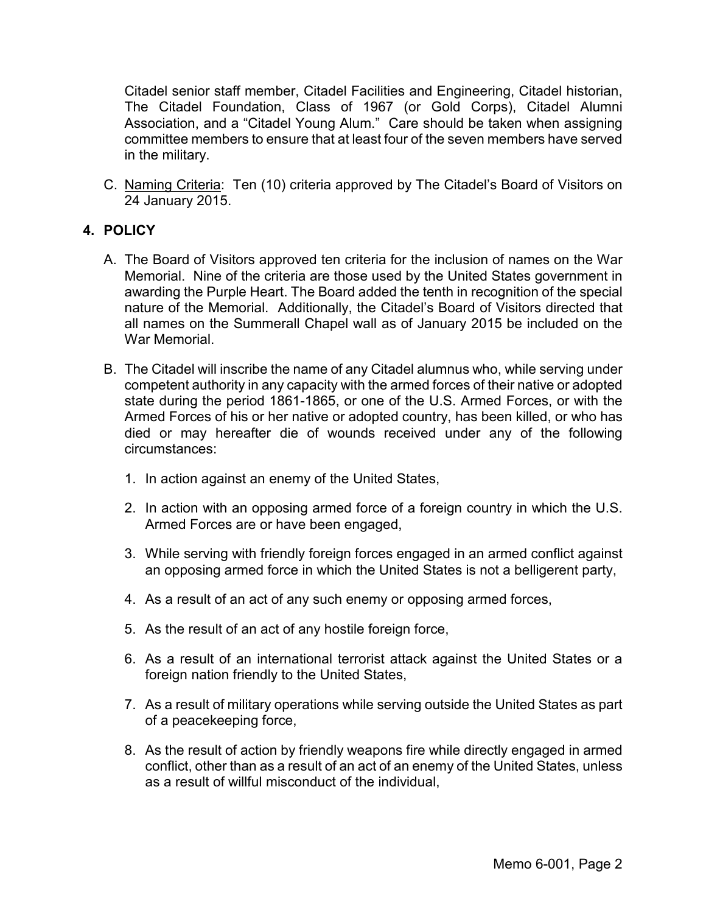Citadel senior staff member, Citadel Facilities and Engineering, Citadel historian, The Citadel Foundation, Class of 1967 (or Gold Corps), Citadel Alumni Association, and a "Citadel Young Alum." Care should be taken when assigning committee members to ensure that at least four of the seven members have served in the military.

C. Naming Criteria: Ten (10) criteria approved by The Citadel's Board of Visitors on 24 January 2015.

# **4. POLICY**

- A. The Board of Visitors approved ten criteria for the inclusion of names on the War Memorial. Nine of the criteria are those used by the United States government in awarding the Purple Heart. The Board added the tenth in recognition of the special nature of the Memorial. Additionally, the Citadel's Board of Visitors directed that all names on the Summerall Chapel wall as of January 2015 be included on the War Memorial.
- B. The Citadel will inscribe the name of any Citadel alumnus who, while serving under competent authority in any capacity with the armed forces of their native or adopted state during the period 1861-1865, or one of the U.S. Armed Forces, or with the Armed Forces of his or her native or adopted country, has been killed, or who has died or may hereafter die of wounds received under any of the following circumstances:
	- 1. In action against an enemy of the United States,
	- 2. In action with an opposing armed force of a foreign country in which the U.S. Armed Forces are or have been engaged,
	- 3. While serving with friendly foreign forces engaged in an armed conflict against an opposing armed force in which the United States is not a belligerent party,
	- 4. As a result of an act of any such enemy or opposing armed forces,
	- 5. As the result of an act of any hostile foreign force,
	- 6. As a result of an international terrorist attack against the United States or a foreign nation friendly to the United States,
	- 7. As a result of military operations while serving outside the United States as part of a peacekeeping force,
	- 8. As the result of action by friendly weapons fire while directly engaged in armed conflict, other than as a result of an act of an enemy of the United States, unless as a result of willful misconduct of the individual,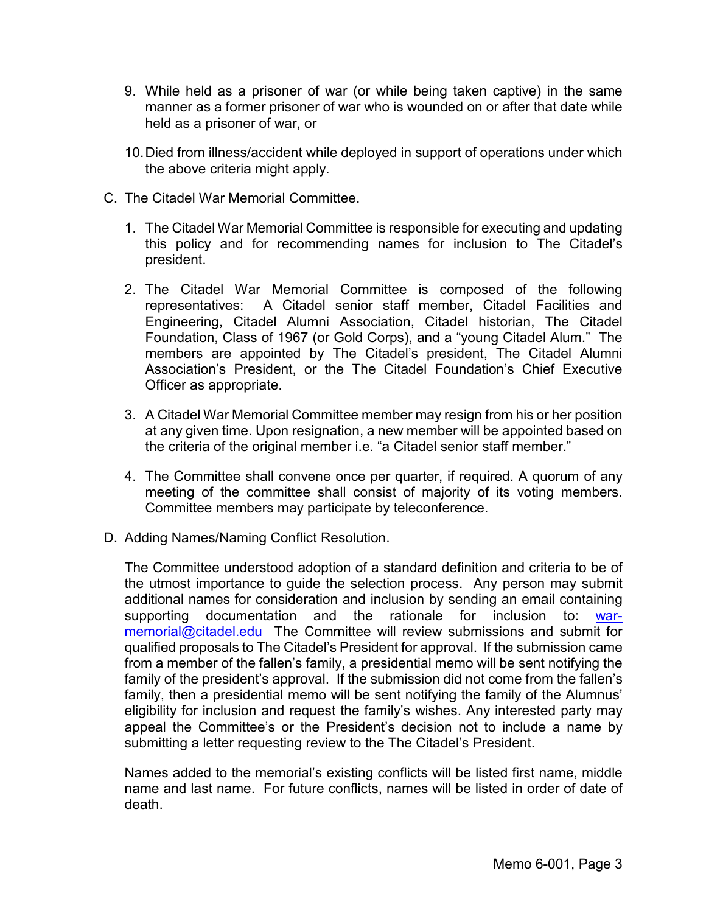- 9. While held as a prisoner of war (or while being taken captive) in the same manner as a former prisoner of war who is wounded on or after that date while held as a prisoner of war, or
- 10.Died from illness/accident while deployed in support of operations under which the above criteria might apply.
- C. The Citadel War Memorial Committee.
	- 1. The Citadel War Memorial Committee is responsible for executing and updating this policy and for recommending names for inclusion to The Citadel's president.
	- 2. The Citadel War Memorial Committee is composed of the following representatives: A Citadel senior staff member, Citadel Facilities and Engineering, Citadel Alumni Association, Citadel historian, The Citadel Foundation, Class of 1967 (or Gold Corps), and a "young Citadel Alum." The members are appointed by The Citadel's president, The Citadel Alumni Association's President, or the The Citadel Foundation's Chief Executive Officer as appropriate.
	- 3. A Citadel War Memorial Committee member may resign from his or her position at any given time. Upon resignation, a new member will be appointed based on the criteria of the original member i.e. "a Citadel senior staff member."
	- 4. The Committee shall convene once per quarter, if required. A quorum of any meeting of the committee shall consist of majority of its voting members. Committee members may participate by teleconference.
- D. Adding Names/Naming Conflict Resolution.

The Committee understood adoption of a standard definition and criteria to be of the utmost importance to guide the selection process. Any person may submit additional names for consideration and inclusion by sending an email containing supporting documentation and the rationale for inclusion to: [war](mailto:war-memorial@citadel.edu)[memorial@citadel.edu](mailto:war-memorial@citadel.edu) The Committee will review submissions and submit for qualified proposals to The Citadel's President for approval. If the submission came from a member of the fallen's family, a presidential memo will be sent notifying the family of the president's approval. If the submission did not come from the fallen's family, then a presidential memo will be sent notifying the family of the Alumnus' eligibility for inclusion and request the family's wishes. Any interested party may appeal the Committee's or the President's decision not to include a name by submitting a letter requesting review to the The Citadel's President.

Names added to the memorial's existing conflicts will be listed first name, middle name and last name. For future conflicts, names will be listed in order of date of death.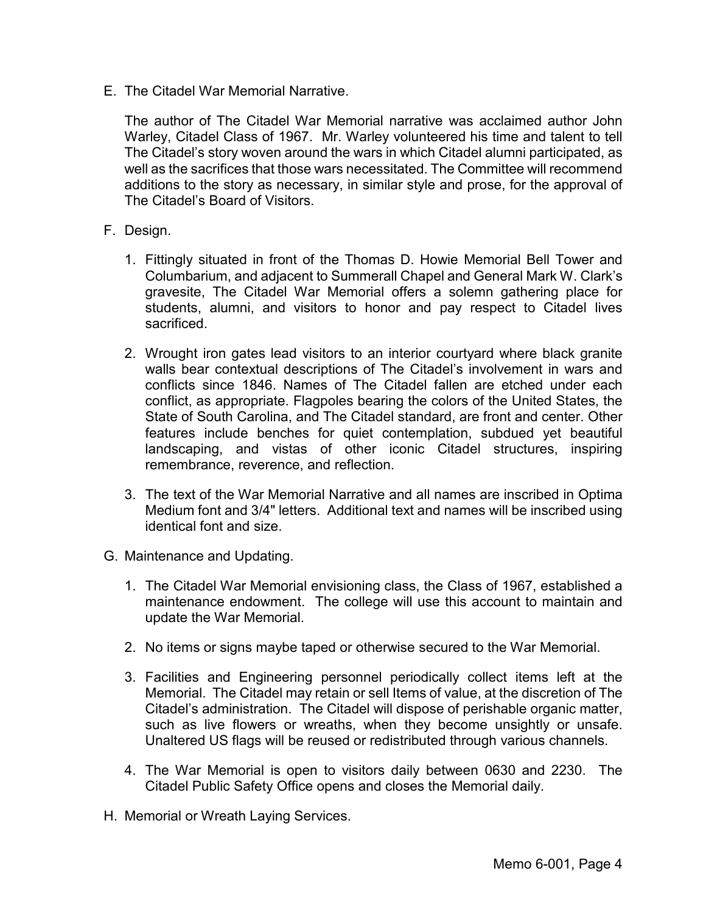E. The Citadel War Memorial Narrative.

The author of The Citadel War Memorial narrative was acclaimed author John Warley, Citadel Class of 1967. Mr. Warley volunteered his time and talent to tell The Citadel's story woven around the wars in which Citadel alumni participated, as well as the sacrifices that those wars necessitated. The Committee will recommend additions to the story as necessary, in similar style and prose, for the approval of The Citadel's Board of Visitors.

- F. Design.
	- 1. Fittingly situated in front of the Thomas D. Howie Memorial Bell Tower and Columbarium, and adjacent to Summerall Chapel and General Mark W. Clark's gravesite, The Citadel War Memorial offers a solemn gathering place for students, alumni, and visitors to honor and pay respect to Citadel lives sacrificed.
	- 2. Wrought iron gates lead visitors to an interior courtyard where black granite walls bear contextual descriptions of The Citadel's involvement in wars and conflicts since 1846. Names of The Citadel fallen are etched under each conflict, as appropriate. Flagpoles bearing the colors of the United States, the State of South Carolina, and The Citadel standard, are front and center. Other features include benches for quiet contemplation, subdued yet beautiful landscaping, and vistas of other iconic Citadel structures, inspiring remembrance, reverence, and reflection.
	- 3. The text of the War Memorial Narrative and all names are inscribed in Optima Medium font and 3/4" letters. Additional text and names will be inscribed using identical font and size.
- G. Maintenance and Updating.
	- 1. The Citadel War Memorial envisioning class, the Class of 1967, established a maintenance endowment. The college will use this account to maintain and update the War Memorial.
	- 2. No items or signs maybe taped or otherwise secured to the War Memorial.
	- 3. Facilities and Engineering personnel periodically collect items left at the Memorial. The Citadel may retain or sell Items of value, at the discretion of The Citadel's administration. The Citadel will dispose of perishable organic matter, such as live flowers or wreaths, when they become unsightly or unsafe. Unaltered US flags will be reused or redistributed through various channels.
	- 4. The War Memorial is open to visitors daily between 0630 and 2230. The Citadel Public Safety Office opens and closes the Memorial daily.
- H. Memorial or Wreath Laying Services.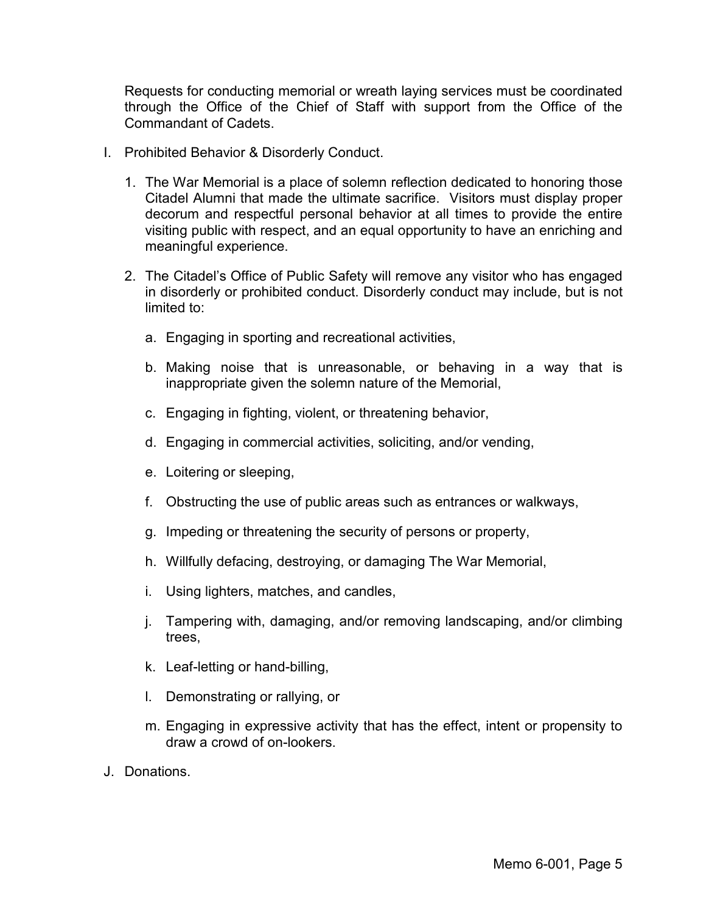Requests for conducting memorial or wreath laying services must be coordinated through the Office of the Chief of Staff with support from the Office of the Commandant of Cadets.

- I. Prohibited Behavior & Disorderly Conduct.
	- 1. The War Memorial is a place of solemn reflection dedicated to honoring those Citadel Alumni that made the ultimate sacrifice. Visitors must display proper decorum and respectful personal behavior at all times to provide the entire visiting public with respect, and an equal opportunity to have an enriching and meaningful experience.
	- 2. The Citadel's Office of Public Safety will remove any visitor who has engaged in disorderly or prohibited conduct. Disorderly conduct may include, but is not limited to:
		- a. Engaging in sporting and recreational activities,
		- b. Making noise that is unreasonable, or behaving in a way that is inappropriate given the solemn nature of the Memorial,
		- c. Engaging in fighting, violent, or threatening behavior,
		- d. Engaging in commercial activities, soliciting, and/or vending,
		- e. Loitering or sleeping,
		- f. Obstructing the use of public areas such as entrances or walkways,
		- g. Impeding or threatening the security of persons or property,
		- h. Willfully defacing, destroying, or damaging The War Memorial,
		- i. Using lighters, matches, and candles,
		- j. Tampering with, damaging, and/or removing landscaping, and/or climbing trees,
		- k. Leaf-letting or hand-billing,
		- l. Demonstrating or rallying, or
		- m. Engaging in expressive activity that has the effect, intent or propensity to draw a crowd of on-lookers.
- J. Donations.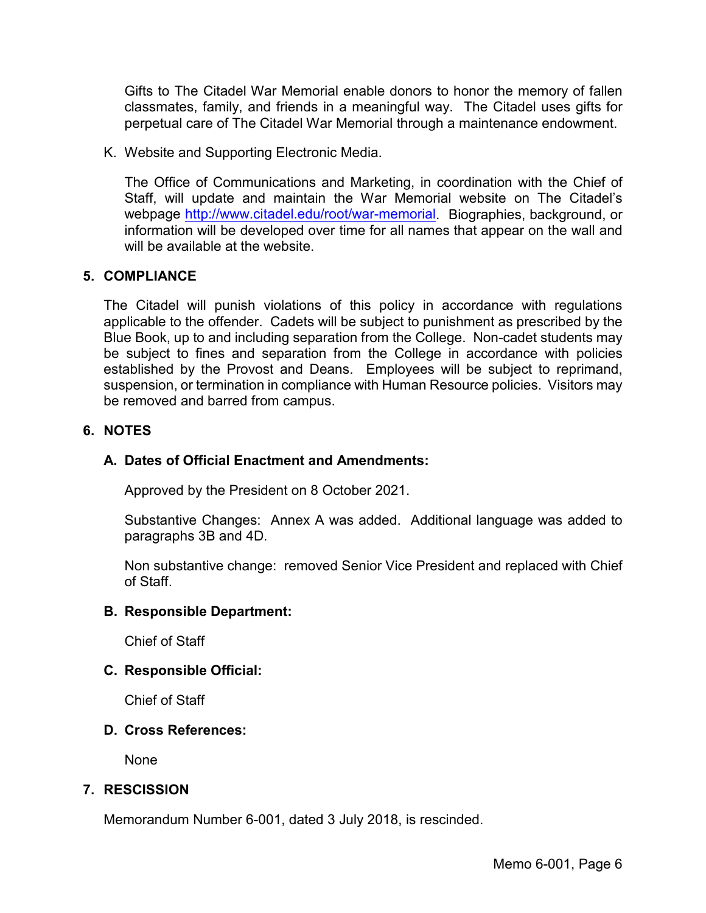Gifts to The Citadel War Memorial enable donors to honor the memory of fallen classmates, family, and friends in a meaningful way. The Citadel uses gifts for perpetual care of The Citadel War Memorial through a maintenance endowment.

K. Website and Supporting Electronic Media.

The Office of Communications and Marketing, in coordination with the Chief of Staff, will update and maintain the War Memorial website on The Citadel's webpage [http://www.citadel.edu/root/war-memorial.](http://www.citadel.edu/root/war-memorial) Biographies, background, or information will be developed over time for all names that appear on the wall and will be available at the website.

#### **5. COMPLIANCE**

The Citadel will punish violations of this policy in accordance with regulations applicable to the offender. Cadets will be subject to punishment as prescribed by the Blue Book, up to and including separation from the College. Non-cadet students may be subject to fines and separation from the College in accordance with policies established by the Provost and Deans. Employees will be subject to reprimand, suspension, or termination in compliance with Human Resource policies. Visitors may be removed and barred from campus.

#### **6. NOTES**

### **A. Dates of Official Enactment and Amendments:**

Approved by the President on 8 October 2021.

Substantive Changes: Annex A was added. Additional language was added to paragraphs 3B and 4D.

Non substantive change: removed Senior Vice President and replaced with Chief of Staff.

#### **B. Responsible Department:**

Chief of Staff

#### **C. Responsible Official:**

Chief of Staff

#### **D. Cross References:**

None

#### **7. RESCISSION**

Memorandum Number 6-001, dated 3 July 2018, is rescinded.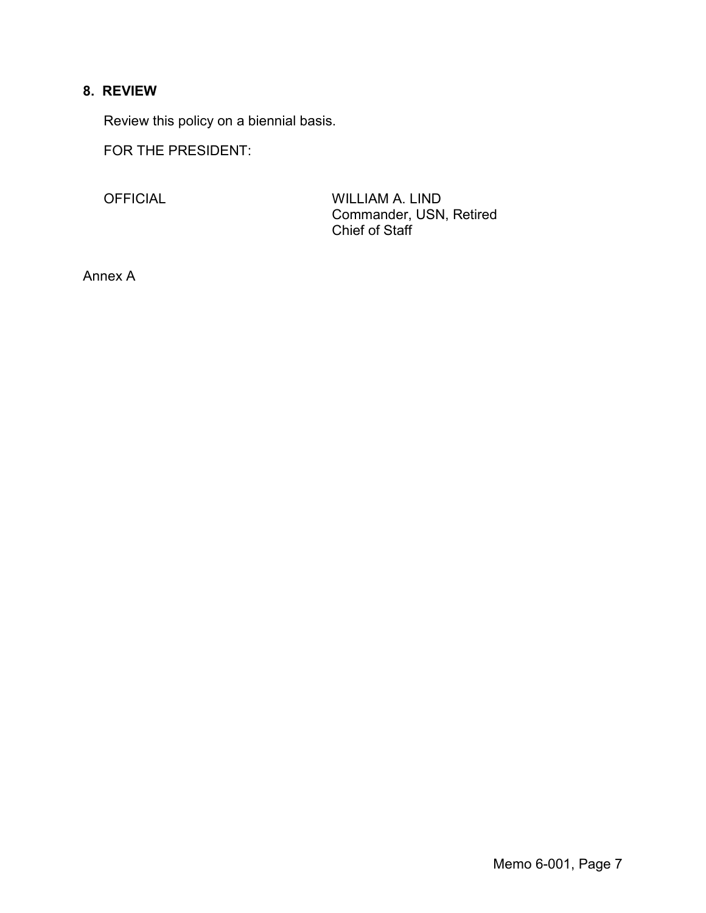# **8. REVIEW**

Review this policy on a biennial basis.

FOR THE PRESIDENT:

OFFICIAL WILLIAM A. LIND Commander, USN, Retired Chief of Staff

Annex A